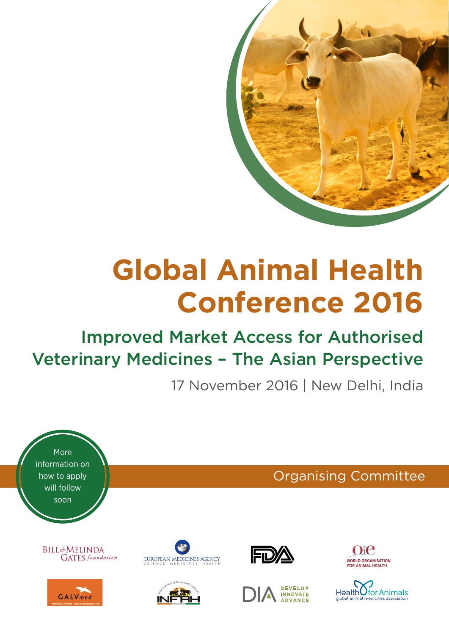

# **Global Animal Health Conference 2016**

## Improved Market Access for Authorised Veterinary Medicines – The Asian Perspective

17 November 2016 | New Delhi, India

More information on how to apply will follow soon

> **BILL**&MELINDA **GATES** foundation

![](_page_0_Picture_6.jpeg)

![](_page_0_Picture_7.jpeg)

![](_page_0_Picture_8.jpeg)

![](_page_0_Picture_9.jpeg)

![](_page_0_Picture_10.jpeg)

Organising Committee

![](_page_0_Picture_11.jpeg)